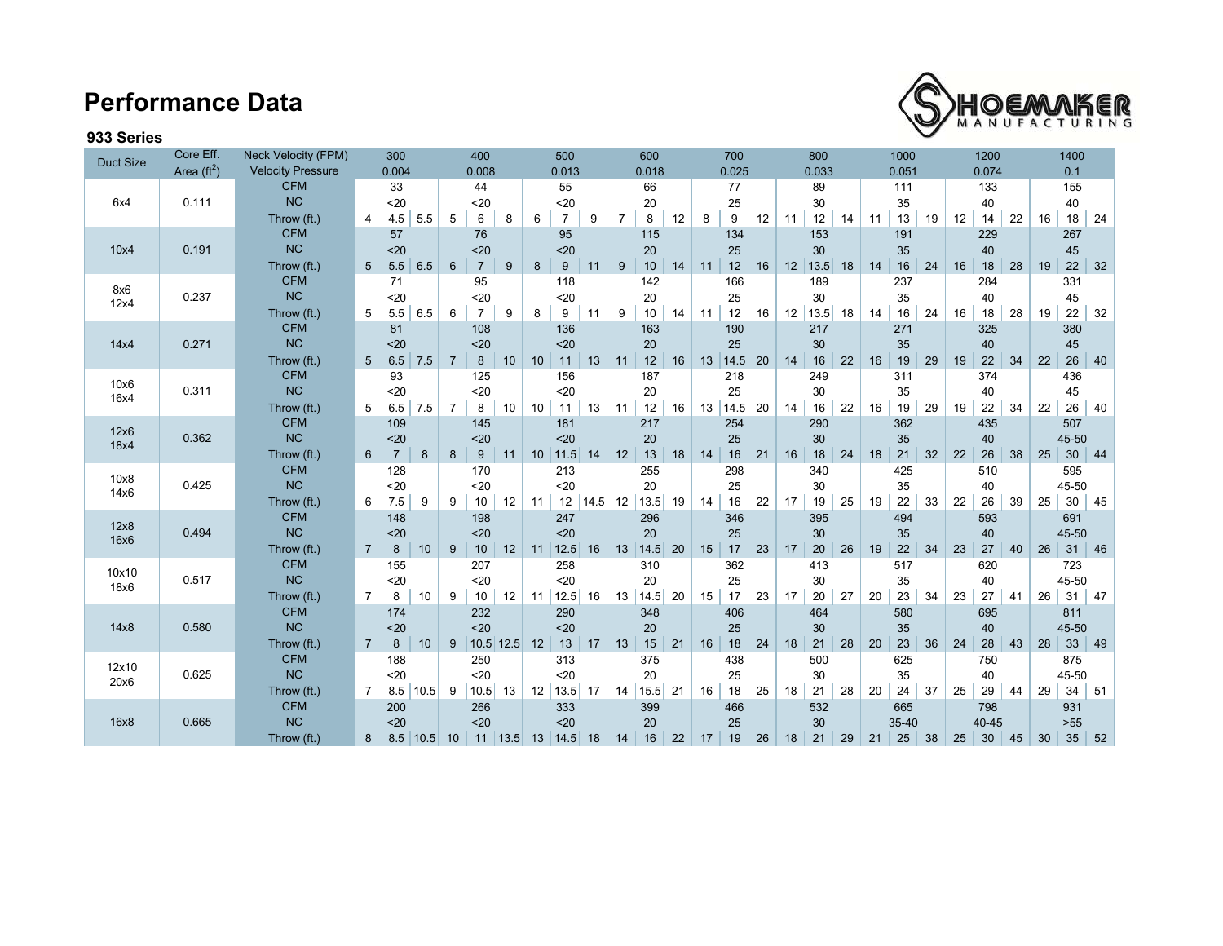## **Performance Data**



## **933 Series**

| <b>Duct Size</b> | Core Eff.            | Neck Velocity (FPM)      | 300                             |                        | 400             |    | 500                     |      | 600            |       | 700 |            |    | 800 |           | 1000 |                | 1200 |    |       | 1400 |    |                 |            |
|------------------|----------------------|--------------------------|---------------------------------|------------------------|-----------------|----|-------------------------|------|----------------|-------|-----|------------|----|-----|-----------|------|----------------|------|----|-------|------|----|-----------------|------------|
|                  | Area $(\text{ft}^2)$ | <b>Velocity Pressure</b> | 0.004                           |                        | 0.008           |    | 0.013                   |      |                | 0.018 |     | 0.025      |    |     | 0.033     |      | 0.074<br>0.051 |      |    | 0.1   |      |    |                 |            |
|                  |                      | <b>CFM</b>               | 33                              |                        | 44              |    | 55                      |      | 66             |       | 77  |            | 89 |     | 111       |      | 133            |      |    | 155   |      |    |                 |            |
| 6x4              | 0.111                | <b>NC</b>                | 20                              |                        | $20$            |    | 20                      |      |                | 20    |     | 25         |    |     | 30        |      | 35             |      |    | 40    |      |    | 40              |            |
|                  |                      | Throw (ft.)              | 4.5<br>4                        | 5.5<br>5               | 6               | 8  | $\overline{7}$<br>6     | 9    | $\overline{7}$ | 8     | 12  | 9<br>8     | 12 | 11  | 12        | 14   | 13<br>11       | 19   | 12 | 14    | 22   | 16 | $18 \mid 24$    |            |
|                  |                      | <b>CFM</b>               | 57                              |                        | 76              |    | 95                      |      |                | 115   |     | 134        |    |     | 153       |      | 191            |      |    | 229   |      |    | 267             |            |
| 10x4             | 0.191                | <b>NC</b>                | $20$                            |                        | $20$            |    | $20$                    |      |                | 20    |     | 25         |    |     | 30        |      | 35             |      |    | 40    |      |    | 45              |            |
|                  |                      | Throw (ft.)              | 5.5<br>5 <sup>5</sup>           | 6.5<br>$6\overline{6}$ | $\overline{7}$  | 9  | 9<br>8                  | 11   | 9              | 10    | 14  | 12<br>11   | 16 | 12  | $13.5$ 18 |      | 16<br>14       | 24   | 16 | 18    | 28   | 19 | $22 \mid 32$    |            |
| 8x6              |                      | <b>CFM</b>               | 71                              |                        | 95              |    | 118                     |      |                | 142   |     | 166        |    |     | 189       |      | 237            |      |    | 284   |      |    | 331             |            |
| 12x4             | 0.237                | NC                       | 20                              |                        | $20$            |    | 20                      |      |                | 20    |     | 25         |    |     | 30        |      | 35             |      |    | 40    |      |    | 45              |            |
|                  |                      | Throw (ft.)              | $5.5 \,   \, 6.5$<br>5          | 6                      | $\overline{7}$  | 9  | 9<br>8                  | 11   | 9              | 10    | 14  | 12<br>11   | 16 | 12  | 13.5      | 18   | 14<br>16       | 24   | 16 | 18    | 28   | 19 | 22              | 32         |
|                  |                      | <b>CFM</b>               | 81                              |                        | 108             |    | 136                     |      |                | 163   |     | 190        |    |     | 217       |      | 271            |      |    | 325   |      |    | 380             |            |
| 14x4             | 0.271                | <b>NC</b>                | $20$                            |                        | $20$            |    | $20$                    |      |                | 20    |     | 25         |    |     | 30        |      | 35             |      |    | 40    |      |    | 45              |            |
|                  |                      | Throw (ft.)              | 7.5<br>$5^{\circ}$<br>6.5       | $\overline{7}$         | 8               | 10 | 11<br>10                | 13   | 11             | 12    | 16  | 13<br>14.5 | 20 | 14  | 16        | 22   | 19<br>16       | 29   | 19 | 22    | 34   | 22 | 26              | 40         |
| 10x6             |                      | <b>CFM</b>               | 93                              |                        | 125             |    | 156                     |      |                | 187   |     | 218        |    |     | 249       |      | 311            |      |    | 374   |      |    | 436             |            |
| 16x4             | 0.311                | <b>NC</b>                | 20                              |                        | $20$            |    | $20$                    |      |                | 20    |     | 25         |    |     | 30        |      | 35             |      |    | 40    |      |    | 45              |            |
|                  |                      | Throw (ft.)              | $6.5$ 7.5<br>5                  | $\overline{7}$         | 8               | 10 | 10<br>11                | 13   | 11             | $12$  | 16  | 14.5<br>13 | 20 | 14  | 16        | 22   | 19<br>16       | 29   | 19 | 22    | 34   | 22 | 26              | 40         |
| 12x6             |                      | <b>CFM</b>               | 109                             |                        | 145             |    | 181                     |      |                | 217   |     | 254        |    |     | 290       |      | 362            |      |    | 435   |      |    | 507             |            |
| 18x4             | 0.362                | <b>NC</b>                | $20$                            |                        | $20$            |    | $20$                    |      |                | 20    |     | 25         |    |     | 30        |      | 35             |      |    | 40    |      |    | 45-50           |            |
|                  |                      | Throw (ft.)              | $6^{\circ}$<br>$\overline{7}$   | 8<br>8                 | 9               | 11 | 11.5<br>10              | 14   | 12             | 13    | 18  | 16<br>14   | 21 | 16  | 18        | 24   | 21<br>18       | 32   | 22 | 26    | 38   | 25 | 30 <sup>°</sup> | 44         |
| 10x8             |                      | <b>CFM</b>               | 128                             |                        | 170             |    | 213                     |      |                | 255   |     | 298        |    |     | 340       |      | 425            |      |    | 510   |      |    | 595             |            |
| 14x6             | 0.425                | <b>NC</b>                | $20$                            |                        | $20$            |    | $20$                    |      |                | 20    |     | 25         |    |     | 30        |      | 35             |      |    | 40    |      |    | 45-50           |            |
|                  |                      | Throw (ft.)              | 6<br>7.5                        | 9<br>9                 | 10              | 12 | 12<br>11                | 14.5 | 12             | 13.5  | 19  | 16<br>14   | 22 | 17  | 19        | 25   | 22<br>19       | 33   | 22 | 26    | 39   | 25 | 30              | 45         |
| 12x8             |                      | <b>CFM</b>               | 148                             |                        | 198             |    | 247                     |      |                | 296   |     | 346        |    |     | 395       |      | 494            |      |    | 593   |      |    | 691             |            |
| 16x6             | 0.494                | <b>NC</b>                | $20$                            |                        | $20$            |    | $20$                    |      |                | 20    |     | 25         |    |     | 30        |      | 35             |      |    | 40    |      |    | 45-50           |            |
|                  |                      | Throw (ft.)              | $7^{\circ}$<br>8                | 10<br>9                | 10              | 12 | 12.5<br>11              | 16   | 13             | 14.5  | 20  | 17<br>15   | 23 | 17  | $20\,$    | 26   | $22\,$<br>19   | 34   | 23 | 27    | 40   | 26 | 31              | 46         |
| 10x10            |                      | <b>CFM</b>               | 155                             |                        | 207             |    | 258                     |      |                | 310   |     | 362        |    |     | 413       |      | 517            |      |    | 620   |      |    | 723             |            |
| 18x6             | 0.517                | <b>NC</b>                | 20                              |                        | $20$            |    | $20$                    |      |                | 20    |     | 25         |    |     | 30        |      | 35             |      |    | 40    |      |    | 45-50           |            |
|                  |                      | Throw (ft.)              | $7^{\circ}$<br>8                | 10<br>9                | 10              | 12 | 12.5<br>11              | 16   | 13             | 14.5  | 20  | 15<br>17   | 23 | 17  | 20        | 27   | 20<br>23       | 34   | 23 | 27    | 41   | 26 | 31              | 47         |
|                  |                      | <b>CFM</b>               | 174                             |                        | 232             |    | 290                     |      |                | 348   |     | 406        |    |     | 464       |      | 580            |      |    | 695   |      |    | 811             |            |
| 14x8             | 0.580                | <b>NC</b>                | $20$                            |                        | $20$            |    | $20$                    |      |                | 20    |     | 25         |    |     | 30        |      | 35             |      |    | 40    |      |    | 45-50           |            |
|                  |                      | Throw (ft.)              | $7^{\circ}$<br>8                | 10                     | 9   10.5   12.5 |    | 13<br>12                | 17   | 13             | 15    | 21  | 18<br>16   | 24 | 18  | 21        | 28   | 23<br>20       | 36   | 24 | 28    | 43   | 28 | $33 \mid 49$    |            |
| 12x10            |                      | <b>CFM</b>               | 188                             |                        | 250             |    | 313                     |      |                | 375   |     | 438        |    |     | 500       |      | 625            |      |    | 750   |      |    | 875             |            |
| 20x6             | 0.625                | <b>NC</b>                | 20                              |                        | $20$            |    | $20$                    |      |                | 20    |     | 25         |    |     | 30        |      | 35             |      |    | 40    |      |    | 45-50           |            |
|                  |                      | Throw (ft.)              | $\overline{7}$<br>$8.5$   10.5  | 9                      | 10.5            | 13 | 13.5<br>12              | 17   | 14             | 15.5  | 21  | 18<br>16   | 25 | 18  | 21        | 28   | 20<br>24       | 37   | 25 | 29    | 44   | 29 | 34              | 51         |
|                  |                      | <b>CFM</b>               | 200                             |                        | 266             |    | 333                     |      |                | 399   |     | 466        |    |     | 532       |      | 665            |      |    | 798   |      |    | 931             |            |
| 16x8             | 0.665                | <b>NC</b>                | $20$                            |                        | $20$            |    | $20$                    |      |                | 20    |     | 25         |    |     | 30        |      | 35-40          |      |    | 40-45 |      |    | $>55$           |            |
|                  |                      | Throw (ft.)              | $8.5$ 10.5 10<br>8 <sup>1</sup> |                        |                 |    | $11$   13.5   13   14.5 | 18   | 14             | 16    | 22  | 19<br>17   | 26 | 18  | 21        | 29   | 25<br>21       | 38   | 25 | 30    | 45   | 30 | 35              | $\vert 52$ |